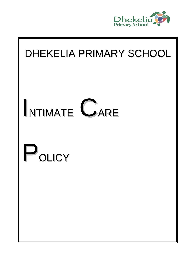

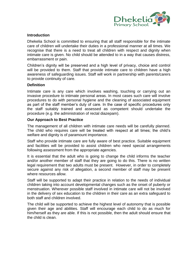

#### **Introduction**

Dhekelia School is committed to ensuring that all staff responsible for the intimate care of children will undertake their duties in a professional manner at all times. We recognise that there is a need to treat all children with respect and dignity when intimate care is given. No child should be attended to in a way that causes distress, embarrassment or pain.

Children's dignity will be preserved and a high level of privacy, choice and control will be provided to them. Staff that provide intimate care to children have a high awareness of safeguarding issues. Staff will work in partnership with parents/carers to provide continuity of care.

#### **Definition**

Intimate care is any care which involves washing, touching or carrying out an invasive procedure to intimate personal areas. In most cases such care will involve procedures to do with personal hygiene and the cleaning of associated equipment as part of the staff member's duty of care. In the case of specific procedures only the staff suitably trained and assessed as competent should undertake the procedure (e.g. the administration of rectal diazepam).

#### **Our Approach to Best Practice**

The management of all children with intimate care needs will be carefully planned. The child who requires care will be treated with respect at all times; the child's welfare and dignity is of paramount importance.

Staff who provide intimate care are fully aware of best practice. Suitable equipment and facilities will be provided to assist children who need special arrangements following assessment from the appropriate agencies.

It is essential that the adult who is going to change the child informs the teacher and/or another member of staff that they are going to do this. There is no written legal requirement that two adults must be present. However, in order to completely secure against any risk of allegation, a second member of staff may be present where resources allow.

Staff will be supported to adapt their practice in relation to the needs of individual children taking into account developmental changes such as the onset of puberty or menstruation. Wherever possible staff involved in intimate care will not be involved in the delivery of sex education to the children in their care as an extra safeguard to both staff and children involved.

The child will be supported to achieve the highest level of autonomy that is possible given their age and abilities. Staff will encourage each child to do as much for him/herself as they are able. If this is not possible, then the adult should ensure that the child is clean.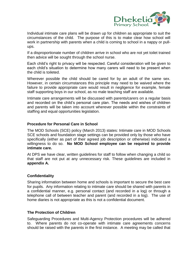

Individual intimate care plans will be drawn up for children as appropriate to suit the circumstances of the child. The purpose of this is to make clear how school will work in partnership with parents when a child is coming to school in a nappy or pullups.

If a disproportionate number of children arrive in school who are not yet toilet trained then advice will be sought through the school nurse.

Each child's right to privacy will be respected. Careful consideration will be given to each child's situation to determine how many carers will need to be present when the child is toileted.

Wherever possible the child should be cared for by an adult of the same sex. However, in certain circumstances this principle may need to be waived where the failure to provide appropriate care would result in negligence for example, female staff supporting boys in our school, as no male teaching staff are available.

Intimate care arrangements will be discussed with parents/carers on a regular basis and recorded on the child's personal care plan. The needs and wishes of children and parents will be taken into account wherever possible within the constraints of staffing and equal opportunities legislation.

## **Procedure for Personal Care in School**

The MOD Schools (SCE) policy (March 2013) states: Intimate care in MOD Schools SCE schools and foundation stage settings can be provided only by those who have specifically (either as part of their agreed job description or otherwise) indicated a willingness to do so. **No MOD School employee can be required to provide intimate care.** 

At DPS we have clear, written guidelines for staff to follow when changing a child so that staff are not put at any unnecessary risk. These guidelines are included in **appendix A.**

## **Confidentiality**

Sharing information between home and schools is important to secure the best care for pupils. Any information relating to intimate care should be shared with parents in a confidential manner, e.g. personal contact (and recorded in a log) or through a telephone call of between teacher and parent (and recorded in a log). The use of home diaries is not appropriate as this is not a confidential document.

#### **The Protection of Children**

Safeguarding Procedures and Multi-Agency Protection procedures will be adhered to. Where parents do not co-operate with intimate care agreements concerns should be raised with the parents in the first instance. A meeting may be called that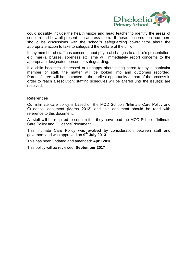

could possibly include the health visitor and head teacher to identify the areas of concern and how all present can address them. If these concerns continue there should be discussions with the school's safeguarding co-ordinator about the appropriate action to take to safeguard the welfare of the child.

If any member of staff has concerns abut physical changes to a child's presentation, e.g. marks, bruises, soreness etc. s/he will immediately report concerns to the appropriate designated person for safeguarding.

If a child becomes distressed or unhappy about being cared for by a particular member of staff, the matter will be looked into and outcomes recorded. Parents/carers will be contacted at the earliest opportunity as part of the process in order to reach a resolution; staffing schedules will be altered until the issue(s) are resolved.

#### **References**

Our intimate care policy is based on the MOD Schools 'Intimate Care Policy and Guidance' document (March 2013) and this document should be read with reference to this document.

All staff will be required to confirm that they have read the MOD Schools 'Intimate Care Policy and Guidance' document.

This Intimate Care Policy was evolved by consideration between staff and governors and was approved on **9 th July 2013**

This has been updated and amended: **April 2016**

This policy will be reviewed: **September 2017**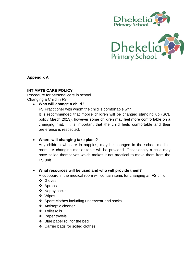



**Appendix A** 

## **INTIMATE CARE POLICY**

Procedure for personal care in school Changing a Child in FS

## **Who will change a child?**

FS Practitioner with whom the child is comfortable with. It is recommended that mobile children will be changed standing up (SCE policy March 2013), however some children may feel more comfortable on a changing mat. It is important that the child feels comfortable and their preference is respected.

# **Where will changing take place?**

Any children who are in nappies, may be changed in the school medical room. A changing mat or table will be provided. Occasionally a child may have soiled themselves which makes it not practical to move them from the FS unit.

## **What resources will be used and who will provide them?**

A cupboard in the medical room will contain items for changing an FS child:

- Gloves
- ❖ Aprons
- ❖ Nappy sacks
- Wipes
- ❖ Spare clothes including underwear and socks
- Antiseptic cleaner
- Toilet rolls
- ❖ Paper towels
- Blue paper roll for the bed
- Carrier bags for soiled clothes